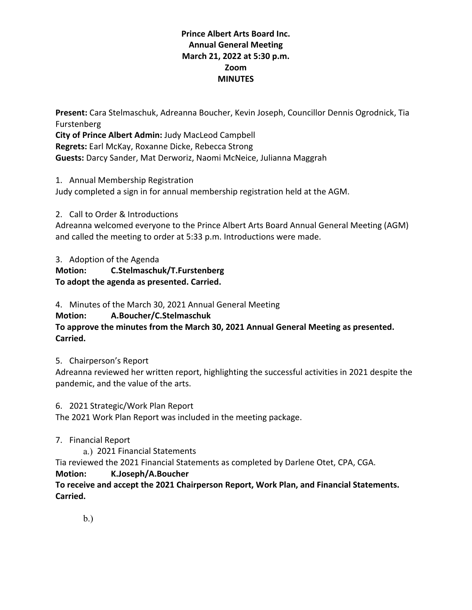## **Prince Albert Arts Board Inc. Annual General Meeting March 21, 2022 at 5:30 p.m. Zoom MINUTES**

**Present:** Cara Stelmaschuk, Adreanna Boucher, Kevin Joseph, Councillor Dennis Ogrodnick, Tia Furstenberg **City of Prince Albert Admin:** Judy MacLeod Campbell **Regrets:** Earl McKay, Roxanne Dicke, Rebecca Strong **Guests:** Darcy Sander, Mat Derworiz, Naomi McNeice, Julianna Maggrah

1. Annual Membership Registration

Judy completed a sign in for annual membership registration held at the AGM.

2. Call to Order & Introductions

Adreanna welcomed everyone to the Prince Albert Arts Board Annual General Meeting (AGM) and called the meeting to order at 5:33 p.m. Introductions were made.

3. Adoption of the Agenda **Motion: C.Stelmaschuk/T.Furstenberg To adopt the agenda as presented. Carried.**

4. Minutes of the March 30, 2021 Annual General Meeting

**Motion: A.Boucher/C.Stelmaschuk**

**To approve the minutes from the March 30, 2021 Annual General Meeting as presented. Carried.**

5. Chairperson's Report

Adreanna reviewed her written report, highlighting the successful activities in 2021 despite the pandemic, and the value of the arts.

6. 2021 Strategic/Work Plan Report

The 2021 Work Plan Report was included in the meeting package.

7. Financial Report

a.) 2021 Financial Statements

Tia reviewed the 2021 Financial Statements as completed by Darlene Otet, CPA, CGA.

### **Motion: K.Joseph/A.Boucher**

**To receive and accept the 2021 Chairperson Report, Work Plan, and Financial Statements. Carried.**